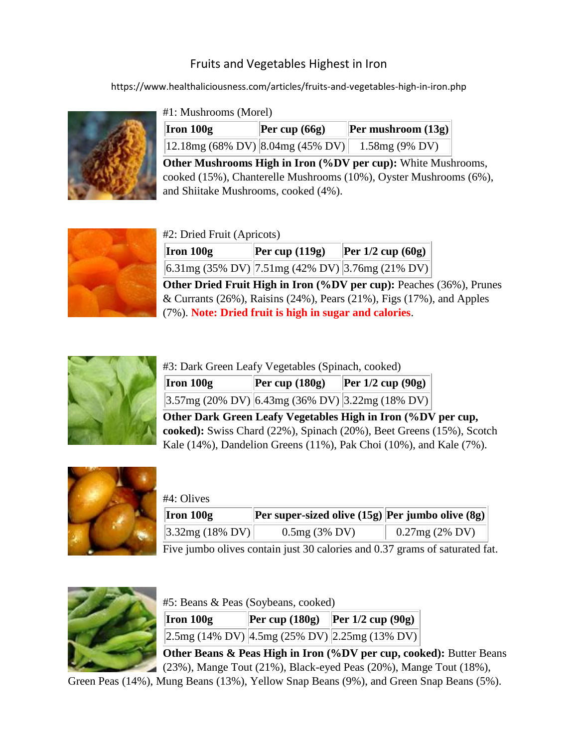## Fruits and Vegetables Highest in Iron

https://www.healthaliciousness.com/articles/fruits-and-vegetables-high-in-iron.php



## #1: Mushrooms (Morel)

| Iron 100g                        | Per cup $(66g)$ | <b>Per mushroom (13g)</b> |
|----------------------------------|-----------------|---------------------------|
| 12.18mg (68% DV) 8.04mg (45% DV) |                 | $1.58mg(9\% DV)$          |

**Other Mushrooms High in Iron (%DV per cup):** White Mushrooms, cooked (15%), Chanterelle Mushrooms (10%), Oyster Mushrooms (6%), and Shiitake Mushrooms, cooked (4%).



## #2: Dried Fruit (Apricots)

| Iron 100g | Per cup $(119g)$ | $\left \text{Per } 1/2 \text{ cup } (60g)\right $ |
|-----------|------------------|---------------------------------------------------|
|           |                  | 6.31mg (35% DV) 7.51mg (42% DV) 3.76mg (21% DV)   |

**Other Dried Fruit High in Iron (%DV per cup):** Peaches (36%), Prunes  $& \text{Currants } (26\%)$ , Raisins (24%), Pears (21%), Figs (17%), and Apples (7%). **Note: Dried fruit is high in sugar and calories**.



| #3: Dark Green Leafy Vegetables (Spinach, cooked) |                |                                                    |  |  |
|---------------------------------------------------|----------------|----------------------------------------------------|--|--|
| $\vert$ Iron 100g                                 | Per cup (180g) | <b>Per 1/2 cup (90g)</b>                           |  |  |
|                                                   |                | $3.57mg (20\% DV)$ 6.43mg (36% DV) 3.22mg (18% DV) |  |  |

**Other Dark Green Leafy Vegetables High in Iron (%DV per cup, cooked):** Swiss Chard (22%), Spinach (20%), Beet Greens (15%), Scotch Kale (14%), Dandelion Greens (11%), Pak Choi (10%), and Kale (7%).



| #4: Olives         |                                                  |                  |
|--------------------|--------------------------------------------------|------------------|
| $ $ Iron 100g      | Per super-sized olive (15g) Per jumbo olive (8g) |                  |
| $ 3.32mg(18\%)V  $ | $0.5mg(3\% \, DV)$                               | $0.27mg(2\% DV)$ |

Five jumbo olives contain just 30 calories and 0.37 grams of saturated fat.



|  |  |  | #5: Beans & Peas (Soybeans, cooked) |  |
|--|--|--|-------------------------------------|--|
|--|--|--|-------------------------------------|--|

| Iron 100g | <b>Per cup (180g) Per 1/2 cup (90g)</b>                                       |
|-----------|-------------------------------------------------------------------------------|
|           | $\left 2.5 \text{mg} (14\% \text{ DV})\right $ 4.5mg (25% DV) 2.25mg (13% DV) |

**Other Beans & Peas High in Iron (%DV per cup, cooked):** Butter Beans (23%), Mange Tout (21%), Black-eyed Peas (20%), Mange Tout (18%),

Green Peas (14%), Mung Beans (13%), Yellow Snap Beans (9%), and Green Snap Beans (5%).